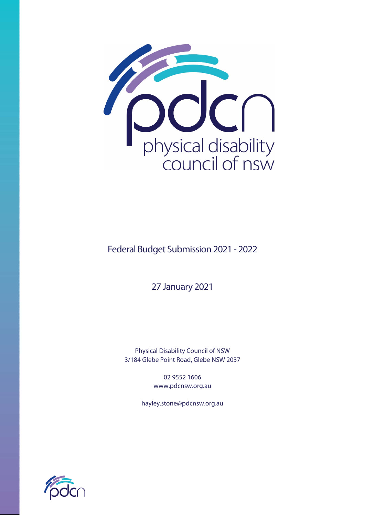

Federal Budget Submission 2021 - 2022

27 January 2021

Physical Disability Council of NSW 3/184 Glebe Point Road, Glebe NSW 2037

> 02 9552 1606 www.pdcnsw.org.au

hayley.stone@pdcnsw.org.au

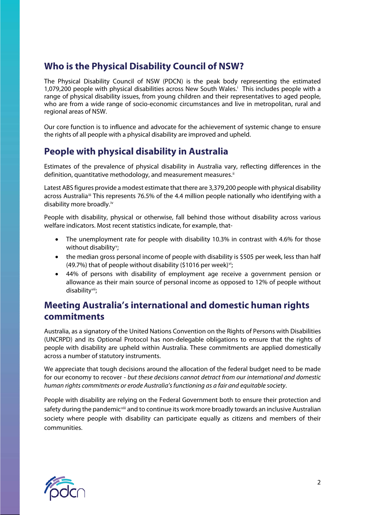## **Who is the Physical Disability Council of NSW?**

The Physical Disability Council of NSW (PDCN) is the peak body representing the estimated 1,079,200 people with physical disabilities across New South Wales. [i](#page-6-0) This includes people with a range of physical disability issues, from young children and their representatives to aged people, who are from a wide range of socio-economic circumstances and live in metropolitan, rural and regional areas of NSW.

Our core function is to influence and advocate for the achievement of systemic change to ensure the rights of all people with a physical disability are improved and upheld.

## **People with physical disability in Australia**

Estimates of the prevalence of physical disability in Australia vary, reflecting differences in the definition, quantitative methodology, and measurement measures.<sup>ii</sup>

Latest ABS figures provide a modest estimate that there are 3,379,200 people with physical disability across Australia<sup>ii</sup> This represents 76.5% of the 4.4 million people nationally who identifying with a disability more broadly.[iv](#page-6-3)

People with disability, physical or otherwise, fall behind those without disability across various welfare indicators. Most recent statistics indicate, for example, that-

- The unemployment rate for people with disability 10.3% in contrast with 4.6% for those without disability<sup>[v](#page-6-4)</sup>;
- the median gross personal income of people with disability is \$505 per week, less than half (49.7%) that of people without disability (\$1016 per week) $vi$ ;
- 44% of persons with disability of employment age receive a government pension or allowance as their main source of personal income as opposed to 12% of people without disability[vii](#page-6-6);

## **Meeting Australia's international and domestic human rights commitments**

Australia, as a signatory of the United Nations Convention on the Rights of Persons with Disabilities (UNCRPD) and its Optional Protocol has non-delegable obligations to ensure that the rights of people with disability are upheld within Australia. These commitments are applied domestically across a number of statutory instruments.

We appreciate that tough decisions around the allocation of the federal budget need to be made for our economy to recover - *but these decisions cannot detract from our international and domestic human rights commitments or erode Australia's functioning as a fair and equitable society*.

People with disability are relying on the Federal Government both to ensure their protection and safety during the pandemic<sup>[viii](#page-6-7)</sup> and to continue its work more broadly towards an inclusive Australian society where people with disability can participate equally as citizens and members of their communities.

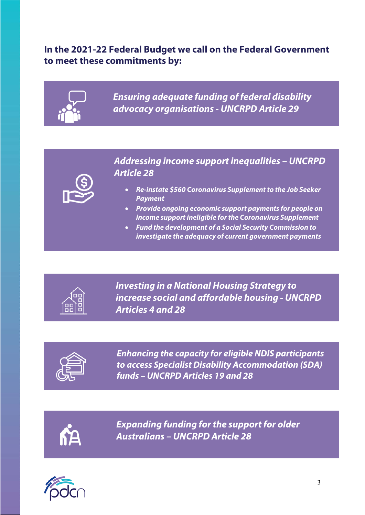# **In the 2021-22 Federal Budget we call on the Federal Government to meet these commitments by:**



*Ensuring adequate funding of federal disability advocacy organisations - UNCRPD Article 29*

*Addressing income support inequalities – UNCRPD Article 28*

- *Re-instate \$560 Coronavirus Supplement to the Job Seeker Payment*
- *Provide ongoing economic support payments for people on income support ineligible for the Coronavirus Supplement*
- *Fund the development of a Social Security Commission to investigate the adequacy of current government payments*



*Investing in a National Housing Strategy to increase social and affordable housing - UNCRPD Articles 4 and 28*



*Enhancing the capacity for eligible NDIS participants to access Specialist Disability Accommodation (SDA) funds – UNCRPD Articles 19 and 28*



*Expanding funding for the support for older Australians – UNCRPD Article 28*

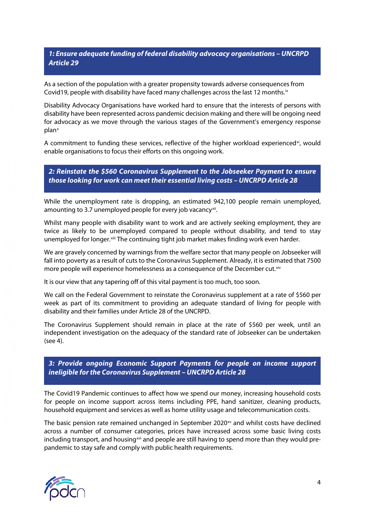#### *1: Ensure adequate funding of federal disability advocacy organisations – UNCRPD Article 29*

As a section of the population with a greater propensity towards adverse consequences from Covid19, people with disability have faced many challenges across the last 12 months.<sup>ix</sup>

Disability Advocacy Organisations have worked hard to ensure that the interests of persons with disability have been represented across pandemic decision making and there will be ongoing need for advocacy as we move through the various stages of the Government's emergency response plan[x](#page-6-9)

A commitment to funding these services, reflective of the higher workload experienced<sup>xi</sup>, would enable organisations to focus their efforts on this ongoing work.

*2: Reinstate the \$560 Coronavirus Supplement to the Jobseeker Payment to ensure those looking for work can meet their essential living costs – UNCRPD Article 28*

While the unemployment rate is dropping, an estimated 942,100 people remain unemployed, amounting to 3.7 unemployed people for every job vacancy<sup>[xii](#page-6-11)</sup>.

Whilst many people with disability want to work and are actively seeking employment, they are twice as likely to be unemployed compared to people without disability, and tend to stay unemployed for longer. Xiii The continuing tight job market makes finding work even harder.

We are gravely concerned by warnings from the welfare sector that many people on Jobseeker will fall into poverty as a result of cuts to the Coronavirus Supplement. Already, it is estimated that 7500 more people will experience homelessness as a consequence of the December cut. [xiv](#page-6-13)

It is our view that any tapering off of this vital payment is too much, too soon.

We call on the Federal Government to reinstate the Coronavirus supplement at a rate of \$560 per week as part of its commitment to providing an adequate standard of living for people with disability and their families under Article 28 of the UNCRPD.

The Coronavirus Supplement should remain in place at the rate of \$560 per week, until an independent investigation on the adequacy of the standard rate of Jobseeker can be undertaken (see 4).

*3: Provide ongoing Economic Support Payments for people on income support ineligible for the Coronavirus Supplement – UNCRPD Article 28*

The Covid19 Pandemic continues to affect how we spend our money, increasing household costs for people on income support across items including PPE, hand sanitizer, cleaning products, household equipment and services as well as home utility usage and telecommunication costs.

The basic pension rate remained unchanged in September 2020 $<sup>xx</sup>$  and whilst costs have declined</sup> across a number of consumer categories, prices have increased across some basic living costs including transport, and housing  $xvi$  and people are still having to spend more than they would prepandemic to stay safe and comply with public health requirements.

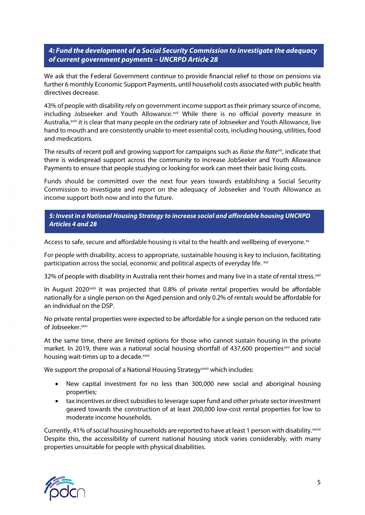*4: Fund the development of a Social Security Commission to investigate the adequacy of current government payments – UNCRPD Article 28*

We ask that the Federal Government continue to provide financial relief to those on pensions via further 6 monthly Economic Support Payments, until household costs associated with public health directives decrease.

43% of people with disability rely on government income support as their primary source of income, including Jobseeker and Youth Allowance.<sup>[xvii](#page-6-16)</sup> While there is no official poverty measure in Australia,<sup>xviii</sup> it is clear that many people on the ordinary rate of Jobseeker and Youth Allowance, live hand to mouth and are consistently unable to meet essential costs, including housing, utilities, food and medications.

The results of recent poll and growing support for campaigns such as *Raise the Rate[xix](#page-6-17)*, indicate that there is widespread support across the community to increase JobSeeker and Youth Allowance Payments to ensure that people studying or looking for work can meet their basic living costs.

Funds should be committed over the next four years towards establishing a Social Security Commission to investigate and report on the adequacy of Jobseeker and Youth Allowance as income support both now and into the future.

#### *5: Invest in a National Housing Strategy to increase social and affordable housing UNCRPD Articles 4 and 28*

Access to safe, secure and affordable housing is vital to the health and wellbeing of everyone. $x$ 

For people with disability, access to appropriate, sustainable housing is key to inclusion, facilitating participation across the social, economic and political aspects of everyday life. [xxi](#page-6-19)

32% of people with disability in Australia rent their homes and many live in a state of rental stress. [xxii](#page-6-20)

In August 2020 $x$ [i](#page-6-21)i it was projected that 0.8% of private rental properties would be affordable nationally for a single person on the Aged pension and only 0.2% of rentals would be affordable for an individual on the DSP.

No private rental properties were expected to be affordable for a single person on the reduced rate of Jobseeker.<sup>xxiv</sup>

At the same time, there are limited options for those who cannot sustain housing in the private market. In 2019, there was a national social housing shortfall of 437,600 properties[xxv](#page-6-23) and social housing wait-times up to a decade.<sup>xxvi</sup>

We support the proposal of a Nat[i](#page-6-25)onal Housing Strategy<sup>xxvii</sup> which includes:

- New capital investment for no less than 300,000 new social and aboriginal housing properties;
- tax incentives or direct subsidies to leverage super fund and other private sector investment geared towards the construction of at least 200,000 low-cost rental properties for low to moderate income households.

Currently, 41% of social housing households are reported to have at least 1 person with disability.<sup>xxviii</sup> Despite this, the accessibility of current national housing stock varies considerably, with many properties unsuitable for people with physical disabilities.

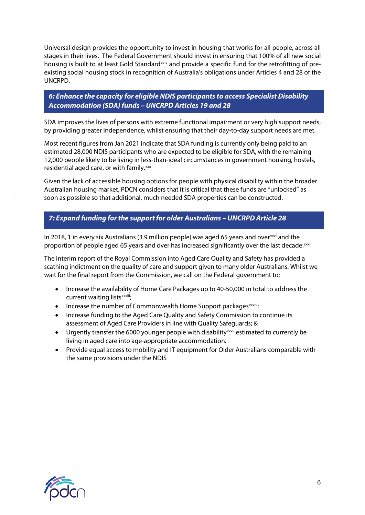Universal design provides the opportunity to invest in housing that works for all people, across all stages in their lives. The Federal Government should invest in ensuring that 100% of all new social housing is built to at least Gold Standard<sup>[xxix](#page-6-27)</sup> and provide a specific fund for the retrofitting of preexisting social housing stock in recognition of Australia's obligations under Articles 4 and 28 of the UNCRPD.

#### *6: Enhance the capacity for eligible NDIS participants to access Specialist Disability Accommodation (SDA) funds – UNCRPD Articles 19 and 28*

SDA improves the lives of persons with extreme functional impairment or very high support needs, by providing greater independence, whilst ensuring that their day-to-day support needs are met.

Most recent figures from Jan 2021 indicate that SDA funding is currently only being paid to an estimated 28,000 NDIS participants who are expected to be eligible for SDA, with the remaining 12,000 people likely to be living in less-than-ideal circumstances in government housing, hostels, residential aged care, or with family.<sup>[xxx](#page-6-28)</sup>

Given the lack of accessible housing options for people with physical disability within the broader Australian housing market, PDCN considers that it is critical that these funds are "unlocked" as soon as possible so that additional, much needed SDA properties can be constructed.

### *7: Expand funding for the support for older Australians – UNCRPD Article 28*

In 2018, 1 in every six Australians (3.9 million people) was aged 65 years and over $^{xxxi}$  $^{xxxi}$  $^{xxxi}$  and the proport[i](#page-6-30)on of people aged 65 years and over has increased significantly over the last decade.<sup>xxxii</sup>

The interim report of the Royal Commission into Aged Care Quality and Safety has provided a scathing indictment on the quality of care and support given to many older Australians. Whilst we wait for the final report from the Commission, we call on the Federal government to:

- Increase the availability of Home Care Packages up to 40-50,000 in total to address the current waiting lists<sup>xxxiii</sup>;
- Increase the number of Commonwealth Home Support packages<sup>xxxiv</sup>[;](#page-6-32)
- Increase funding to the Aged Care Quality and Safety Commission to continue its assessment of Aged Care Providers in line with Quality Safeguards; &
- Urgently transfer the 6000 younger people with disability  $\frac{1}{x}$  estimated to currently be living in aged care into age-appropriate accommodation.
- Provide equal access to mobility and IT equipment for Older Australians comparable with the same provisions under the NDIS

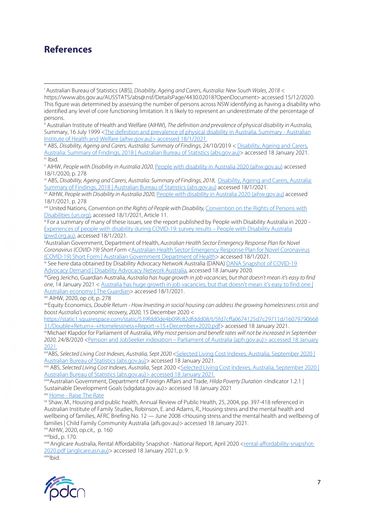## **References**

<span id="page-6-1"></span>ii Australian Institute of Health and Welfare (AIHW), *The definition and prevalence of physical disability in Australia,*  Summary, 16 July 1999 [<The definition and prevalence of physical disability in Australia, Summary -](https://www.aihw.gov.au/reports/disability/definition-prevalence-of-physical-disability-in-au/contents/summary) Australian [Institute of Health and Welfare \(aihw.gov.au\)> accessed 18/1/2021.](https://www.aihw.gov.au/reports/disability/definition-prevalence-of-physical-disability-in-au/contents/summary)

<span id="page-6-2"></span>iii ABS, *Disability, Ageing and Carers, Australia: Summary of Findings,* 24/10/2019 [< Disability, Ageing and Carers,](https://www.abs.gov.au/statistics/health/disability/disability-ageing-and-carers-australia-summary-findings/2018)  [Australia: Summary of Findings, 2018 | Australian Bureau of Statistics \(abs.gov.au\)>](https://www.abs.gov.au/statistics/health/disability/disability-ageing-and-carers-australia-summary-findings/2018) accessed 18 January 2021.<br><sup>iv</sup> Ibid.

<span id="page-6-4"></span><span id="page-6-3"></span><sup>v</sup> AIHW, *People with Disability in Australia 2020*, [People with disability in Australia 2020 \(aihw.gov.au\)](https://www.aihw.gov.au/getmedia/ee5ee3c2-152d-4b5f-9901-71d483b47f03/aihw-dis-72.pdf.aspx?inline=true) accessed 18/1/2020, p. 278

<span id="page-6-5"></span>vi ABS, *Disability, Ageing and Carers, Australia: Summary of Findings, 2018*, [Disability, Ageing and Carers, Australia:](https://www.abs.gov.au/statistics/health/disability/disability-ageing-and-carers-australia-summary-findings/latest-release#key-statistics)  Summary of Findings, 2018 | Australian Bureau of Statistics (abs.gov.au) accessed 18/1/2021.<br>vii AIHW, *People with Disability in Australia 2020*[, People with disability in Australia 2020 \(aihw.gov.au\)](https://www.aihw.gov.au/getmedia/ee5ee3c2-152d-4b5f-9901-71d483b47f03/aihw-dis-72.pdf.aspx?inline=true) accessed

<span id="page-6-6"></span>18/1/2021, p. 278

<span id="page-6-8"></span><span id="page-6-7"></span>viii United Nations, *Convention on the Rights of People with Disability,* [Convention on the Rights of Persons with](https://www.un.org/disabilities/documents/convention/convention_accessible_pdf.pdf) 

<span id="page-6-9"></span>Disabilities (un.org), accessed 18/1/2021, Article 11.<br><sup>k</sup> For a summary of many of these issues, see the report published by People with Disability Australia in 2020 -[Experiences of people with disability during COVID-19: survey results –](https://pwd.org.au/experiences-of-people-with-disability-during-covid-19-survey-results/) People with Disability Australia  $(pwd.org.au)$ , accessed  $18/1/2021$ .

<span id="page-6-12"></span><span id="page-6-11"></span><span id="page-6-10"></span>Australian Government, Department of Health, *Australian Health Sector Emergency Response Plan for Novel Coronavirus (COVID-19) Short Form <*[Australian Health Sector Emergency Response Plan for Novel Coronavirus](https://www.health.gov.au/resources/publications/australian-health-sector-emergency-response-plan-for-novel-coronavirus-covid-19-short-form)  [\(COVID-19\) Short Form | Australian Government](https://www.health.gov.au/resources/publications/australian-health-sector-emergency-response-plan-for-novel-coronavirus-covid-19-short-form) Department of Health> accessed 18/1/2021.

<span id="page-6-13"></span><sup>xi</sup> See here data obtained by Disability Advocacy Network Australia (DANA) DANA Snapshot of COVID-19

<span id="page-6-15"></span><span id="page-6-14"></span>[Advocacy Demand | Disability Advocacy Network Australia,](https://www.dana.org.au/covid-19-advocacy-snapshot/) accessed 18 January 2020.<br><sup>xii</sup>Greg Jericho, Guardian Australia, *Australia has huge growth in job vacancies, but that doesn't mean it's easy to find one*, 14 January 2021 < [Australia has huge growth in job vacancies, but that doesn't mean it's easy to find one |](https://www.theguardian.com/business/grogonomics/2021/jan/14/australia-has-huge-growth-in-job-vacancies-but-that-doesnt-mean-its-easy-to-find-one)  Australian economy | The Guardian > accessed 18/1/2021.<br>
<sup>xiii</sup> AlHW, 2020, op cit, p. 278

<span id="page-6-16"></span>

<span id="page-6-17"></span>xivEquity Economics, *Double Return - How Investing in social housing can address the growing homelessness crisis and boost Australia's economic recovery, 2020*, 15 December 2020 <

<span id="page-6-18"></span>[https://static1.squarespace.com/static/539fdd0de4b09fc82dfddd08/t/5fd7cffa0674125d7c29711d/16079790668](https://static1.squarespace.com/static/539fdd0de4b09fc82dfddd08/t/5fd7cffa0674125d7c29711d/1607979066831/Double+Return+-+Homelessness+Report-+15+December+2020.pdf) [31/Double+Return+-+Homelessness+Report-+15+December+2020.pdf>](https://static1.squarespace.com/static/539fdd0de4b09fc82dfddd08/t/5fd7cffa0674125d7c29711d/1607979066831/Double+Return+-+Homelessness+Report-+15+December+2020.pdf) accessed 18 January 2021.

<span id="page-6-20"></span><span id="page-6-19"></span>xv Michael Klapdor for Parliament of Australia, *Why most pension and benefit rates will not be increased in September 2020*, 24/8/2020 <Pension and JobSeeker indexation – [Parliament of Australia \(aph.gov.au\)> accessed 18 January](https://www.aph.gov.au/About_Parliament/Parliamentary_Departments/Parliamentary_Library/FlagPost/2020/August/Pension_and_JobSeeker_indexation)  [2021.](https://www.aph.gov.au/About_Parliament/Parliamentary_Departments/Parliamentary_Library/FlagPost/2020/August/Pension_and_JobSeeker_indexation)

<span id="page-6-22"></span><span id="page-6-21"></span>xviABS, *Selected Living Cost Indexes, Australia, Sept 2020 <*[Selected Living Cost Indexes, Australia, September 2020 |](https://www.abs.gov.au/statistics/economy/price-indexes-and-inflation/selected-living-cost-indexes-australia/latest-release)  [Australian Bureau of Statistics \(abs.gov.au\)>](https://www.abs.gov.au/statistics/economy/price-indexes-and-inflation/selected-living-cost-indexes-australia/latest-release) accessed 18 January 2021.<br><sup>xvii</sup> ABS, *Selected Living Cost Indexes, Australia*, Sept 2020 <<u>Selected Living Cost Indexes, Australia, September 2020 |</u>

<span id="page-6-23"></span>[Australian Bureau of Statistics \(abs.gov.au\)> accessed 18](https://www.abs.gov.au/statistics/economy/price-indexes-and-inflation/selected-living-cost-indexes-australia/latest-release) January 2021.

<span id="page-6-25"></span><span id="page-6-24"></span>xviiiAustralian Government, Department of Foreign Affairs and Trade, *Hilda Poverty Duration* <Indicator 1.2.1 | Sustainable Development Goals (sdgdata.gov.au)> accessed 18 January 2021

<span id="page-6-26"></span>xix Home - [Raise The Rate](https://raisetherate.org.au/)

<span id="page-6-28"></span><span id="page-6-27"></span>xx Shaw, M., Housing and public health, Annual Review of Public Health, 25, 2004, pp. 397-418 referenced in Australian Institute of Family Studies, Robinson, E. and Adams, R., Housing stress and the mental health and wellbeing of families, AFRC Briefing No. 12 — June 2008 <Housing stress and the mental health and wellbeing of families | Child Family Community Australia (aifs.gov.au)> accessed 18 January 2021.

<span id="page-6-29"></span>xxiAIHW, 2020, op.cit., p. 160

<span id="page-6-30"></span><sup>xxiil</sup>bid., p. 170.

<span id="page-6-32"></span><span id="page-6-31"></span>xxiii Anglicare Australia, Rental Affordability Snapshot - National Report, April 2020 [<rental-affordability-snapshot-](https://www.anglicare.asn.au/docs/default-source/default-document-library/rental-affordability-snapshot-2020.pdf?sfvrsn=4)2020.pdf (anglicare.asn.au) > accessed 18 January 2021, p. 9.<br>xxivIbid.

<span id="page-6-33"></span>

<span id="page-6-0"></span>i Australian Bureau of Statistics (ABS), *Disability, Ageing and Carers, Australia: New South Wales, 2018* < https://www.abs.gov.au/AUSSTATS/abs@.nsf/DetailsPage/4430.02018?OpenDocument> accessed 15/12/2020. This figure was determined by assessing the number of persons across NSW identifying as having a disability who identified any level of core functioning limitation. It is likely to represent an underestimate of the percentage of persons.